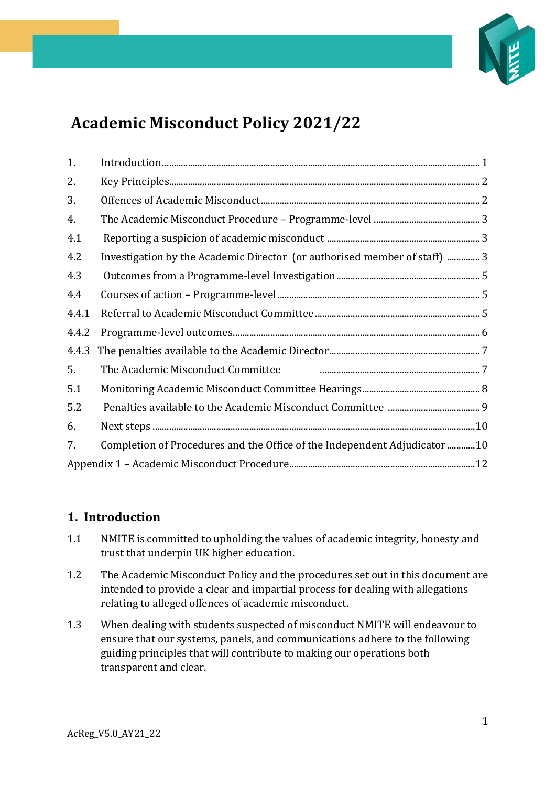

# **Academic Misconduct Policy 2021/22**

| 1.    |                                                                           |  |
|-------|---------------------------------------------------------------------------|--|
| 2.    |                                                                           |  |
| 3.    |                                                                           |  |
| 4.    |                                                                           |  |
| 4.1   |                                                                           |  |
| 4.2   | Investigation by the Academic Director (or authorised member of staff)  3 |  |
| 4.3   |                                                                           |  |
| 4.4   |                                                                           |  |
| 4.4.1 |                                                                           |  |
| 4.4.2 |                                                                           |  |
| 4.4.3 |                                                                           |  |
| 5.    |                                                                           |  |
| 5.1   |                                                                           |  |
| 5.2   |                                                                           |  |
| 6.    |                                                                           |  |
| 7.    | Completion of Procedures and the Office of the Independent Adjudicator 10 |  |
|       |                                                                           |  |

### <span id="page-0-0"></span>**1. Introduction**

- 1.1 NMITE is committed to upholding the values of academic integrity, honesty and trust that underpin UK higher education.
- 1.2 The Academic Misconduct Policy and the procedures set out in this document are intended to provide a clear and impartial process for dealing with allegations relating to alleged offences of academic misconduct.
- 1.3 When dealing with students suspected of misconduct NMITE will endeavour to ensure that our systems, panels, and communications adhere to the following guiding principles that will contribute to making our operations both transparent and clear.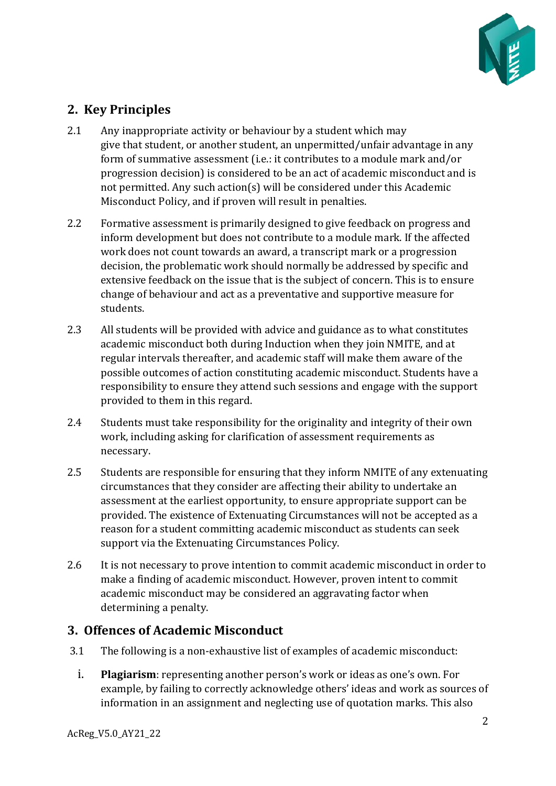

# <span id="page-1-0"></span>**2. Key Principles**

- 2.1 Any inappropriate activity or behaviour by a student which may give that student, or another student, an unpermitted/unfair advantage in any form of summative assessment (i.e.: it contributes to a module mark and/or progression decision) is considered to be an act of academic misconduct and is not permitted. Any such action(s) will be considered under this Academic Misconduct Policy, and if proven will result in penalties.
- 2.2 Formative assessment is primarily designed to give feedback on progress and inform development but does not contribute to a module mark. If the affected work does not count towards an award, a transcript mark or a progression decision, the problematic work should normally be addressed by specific and extensive feedback on the issue that is the subject of concern. This is to ensure change of behaviour and act as a preventative and supportive measure for students.
- 2.3 All students will be provided with advice and guidance as to what constitutes academic misconduct both during Induction when they join NMITE, and at regular intervals thereafter, and academic staff will make them aware of the possible outcomes of action constituting academic misconduct. Students have a responsibility to ensure they attend such sessions and engage with the support provided to them in this regard.
- 2.4 Students must take responsibility for the originality and integrity of their own work, including asking for clarification of assessment requirements as necessary.
- 2.5 Students are responsible for ensuring that they inform NMITE of any extenuating circumstances that they consider are affecting their ability to undertake an assessment at the earliest opportunity, to ensure appropriate support can be provided. The existence of Extenuating Circumstances will not be accepted as a reason for a student committing academic misconduct as students can seek support via the Extenuating Circumstances Policy.
- 2.6 It is not necessary to prove intention to commit academic misconduct in order to make a finding of academic misconduct. However, proven intent to commit academic misconduct may be considered an aggravating factor when determining a penalty.

# <span id="page-1-1"></span>**3. Offences of Academic Misconduct**

- 3.1 The following is a non-exhaustive list of examples of academic misconduct:
	- i. **Plagiarism**: representing another person's work or ideas as one's own. For example, by failing to correctly acknowledge others' ideas and work as sources of information in an assignment and neglecting use of quotation marks. This also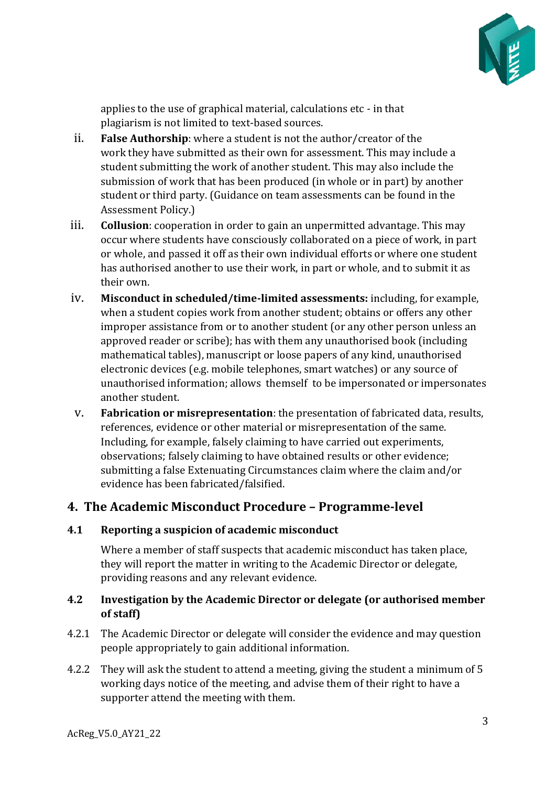

applies to the use of graphical material, calculations etc - in that plagiarism is not limited to text-based sources.

- ii. **False Authorship**: where a student is not the author/creator of the work they have submitted as their own for assessment. This may include a student submitting the work of another student. This may also include the submission of work that has been produced (in whole or in part) by another student or third party. (Guidance on team assessments can be found in the Assessment Policy.)
- iii. **Collusion**: cooperation in order to gain an unpermitted advantage. This may occur where students have consciously collaborated on a piece of work, in part or whole, and passed it off as their own individual efforts or where one student has authorised another to use their work, in part or whole, and to submit it as their own.
- iv. **Misconduct in scheduled/time-limited assessments:** including, for example, when a student copies work from another student; obtains or offers any other improper assistance from or to another student (or any other person unless an approved reader or scribe); has with them any unauthorised book (including mathematical tables), manuscript or loose papers of any kind, unauthorised electronic devices (e.g. mobile telephones, smart watches) or any source of unauthorised information; allows themself to be impersonated or impersonates another student.
- v. **Fabrication or misrepresentation**: the presentation of fabricated data, results, references, evidence or other material or misrepresentation of the same. Including, for example, falsely claiming to have carried out experiments, observations; falsely claiming to have obtained results or other evidence; submitting a false Extenuating Circumstances claim where the claim and/or evidence has been fabricated/falsified.

# <span id="page-2-0"></span>**4. The Academic Misconduct Procedure – Programme-level**

### <span id="page-2-1"></span>**4.1 Reporting a suspicion of academic misconduct**

Where a member of staff suspects that academic misconduct has taken place, they will report the matter in writing to the Academic Director or delegate, providing reasons and any relevant evidence.

### <span id="page-2-2"></span>**4.2 Investigation by the Academic Director or delegate (or authorised member of staff)**

- 4.2.1 The Academic Director or delegate will consider the evidence and may question people appropriately to gain additional information.
- 4.2.2 They will ask the student to attend a meeting, giving the student a minimum of 5 working days notice of the meeting, and advise them of their right to have a supporter attend the meeting with them.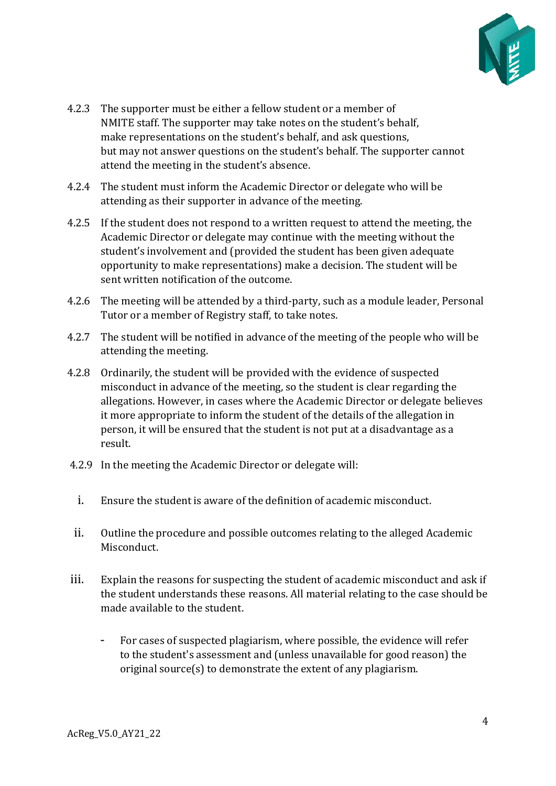

- 4.2.3 The supporter must be either a fellow student or a member of NMITE staff. The supporter may take notes on the student's behalf, make representations on the student's behalf, and ask questions, but may not answer questions on the student's behalf. The supporter cannot attend the meeting in the student's absence.
- 4.2.4 The student must inform the Academic Director or delegate who will be attending as their supporter in advance of the meeting.
- 4.2.5 If the student does not respond to a written request to attend the meeting, the Academic Director or delegate may continue with the meeting without the student's involvement and (provided the student has been given adequate opportunity to make representations) make a decision. The student will be sent written notification of the outcome.
- 4.2.6 The meeting will be attended by a third-party, such as a module leader, Personal Tutor or a member of Registry staff, to take notes.
- 4.2.7 The student will be notified in advance of the meeting of the people who will be attending the meeting.
- 4.2.8 Ordinarily, the student will be provided with the evidence of suspected misconduct in advance of the meeting, so the student is clear regarding the allegations. However, in cases where the Academic Director or delegate believes it more appropriate to inform the student of the details of the allegation in person, it will be ensured that the student is not put at a disadvantage as a result.
- 4.2.9 In the meeting the Academic Director or delegate will:
	- i. Ensure the student is aware of the definition of academic misconduct.
- ii. Outline the procedure and possible outcomes relating to the alleged Academic Misconduct.
- iii. Explain the reasons for suspecting the student of academic misconduct and ask if the student understands these reasons. All material relating to the case should be made available to the student.
	- For cases of suspected plagiarism, where possible, the evidence will refer to the student's assessment and (unless unavailable for good reason) the original source(s) to demonstrate the extent of any plagiarism.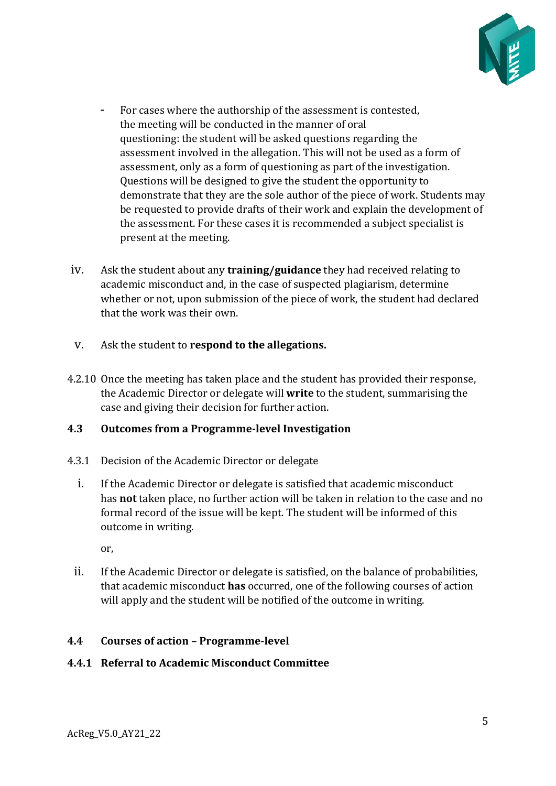

- For cases where the authorship of the assessment is contested, the meeting will be conducted in the manner of oral questioning: the student will be asked questions regarding the assessment involved in the allegation. This will not be used as a form of assessment, only as a form of questioning as part of the investigation. Questions will be designed to give the student the opportunity to demonstrate that they are the sole author of the piece of work. Students may be requested to provide drafts of their work and explain the development of the assessment. For these cases it is recommended a subject specialist is present at the meeting.
- iv. Ask the student about any **training/guidance** they had received relating to academic misconduct and, in the case of suspected plagiarism, determine whether or not, upon submission of the piece of work, the student had declared that the work was their own.
- v. Ask the student to **respond to the allegations.**
- 4.2.10 Once the meeting has taken place and the student has provided their response, the Academic Director or delegate will **write** to the student, summarising the case and giving their decision for further action.

### <span id="page-4-0"></span>**4.3 Outcomes from a Programme-level Investigation**

- 4.3.1 Decision of the Academic Director or delegate
	- i. If the Academic Director or delegate is satisfied that academic misconduct has **not** taken place, no further action will be taken in relation to the case and no formal record of the issue will be kept. The student will be informed of this outcome in writing.

or,

ii. If the Academic Director or delegate is satisfied, on the balance of probabilities, that academic misconduct **has** occurred, one of the following courses of action will apply and the student will be notified of the outcome in writing.

### <span id="page-4-1"></span>**4.4 Courses of action – Programme-level**

#### <span id="page-4-2"></span>**4.4.1 Referral to Academic Misconduct Committee**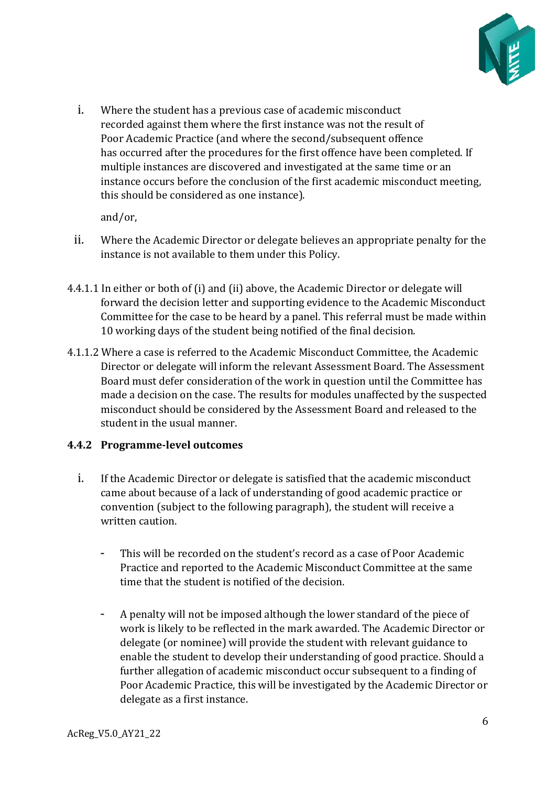

i. Where the student has a previous case of academic misconduct recorded against them where the first instance was not the result of Poor Academic Practice (and where the second/subsequent offence has occurred after the procedures for the first offence have been completed. If multiple instances are discovered and investigated at the same time or an instance occurs before the conclusion of the first academic misconduct meeting, this should be considered as one instance).

and/or,

- ii. Where the Academic Director or delegate believes an appropriate penalty for the instance is not available to them under this Policy.
- 4.4.1.1 In either or both of (i) and (ii) above, the Academic Director or delegate will forward the decision letter and supporting evidence to the Academic Misconduct Committee for the case to be heard by a panel. This referral must be made within 10 working days of the student being notified of the final decision.
- 4.1.1.2 Where a case is referred to the Academic Misconduct Committee, the Academic Director or delegate will inform the relevant Assessment Board. The Assessment Board must defer consideration of the work in question until the Committee has made a decision on the case. The results for modules unaffected by the suspected misconduct should be considered by the Assessment Board and released to the student in the usual manner.

### <span id="page-5-0"></span>**4.4.2 Programme-level outcomes**

- i. If the Academic Director or delegate is satisfied that the academic misconduct came about because of a lack of understanding of good academic practice or convention (subject to the following paragraph), the student will receive a written caution.
	- This will be recorded on the student's record as a case of Poor Academic Practice and reported to the Academic Misconduct Committee at the same time that the student is notified of the decision.
	- A penalty will not be imposed although the lower standard of the piece of work is likely to be reflected in the mark awarded. The Academic Director or delegate (or nominee) will provide the student with relevant guidance to enable the student to develop their understanding of good practice. Should a further allegation of academic misconduct occur subsequent to a finding of Poor Academic Practice, this will be investigated by the Academic Director or delegate as a first instance.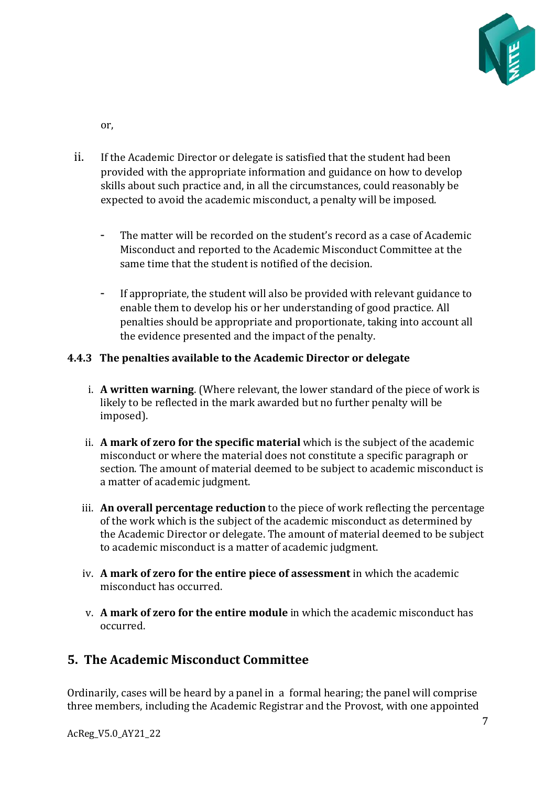

or,

- ii. If the Academic Director or delegate is satisfied that the student had been provided with the appropriate information and guidance on how to develop skills about such practice and, in all the circumstances, could reasonably be expected to avoid the academic misconduct, a penalty will be imposed.
	- The matter will be recorded on the student's record as a case of Academic Misconduct and reported to the Academic Misconduct Committee at the same time that the student is notified of the decision.
	- If appropriate, the student will also be provided with relevant guidance to enable them to develop his or her understanding of good practice. All penalties should be appropriate and proportionate, taking into account all the evidence presented and the impact of the penalty.

### <span id="page-6-0"></span>**4.4.3 The penalties available to the Academic Director or delegate**

- i. **A written warning**. (Where relevant, the lower standard of the piece of work is likely to be reflected in the mark awarded but no further penalty will be imposed).
- ii. **A mark of zero for the specific material**which is the subject of the academic misconduct or where the material does not constitute a specific paragraph or section. The amount of material deemed to be subject to academic misconduct is a matter of academic judgment.
- iii. **An overall percentage reduction** to the piece of work reflecting the percentage of the work which is the subject of the academic misconduct as determined by the Academic Director or delegate. The amount of material deemed to be subject to academic misconduct is a matter of academic judgment.
- iv. **A mark of zero for the entire piece of assessment** in which the academic misconduct has occurred.
- v. **A mark of zero for the entire module** in which the academic misconduct has occurred.

# <span id="page-6-1"></span>**5. The Academic Misconduct Committee**

Ordinarily, cases will be heard by a panel in a formal hearing; the panel will comprise three members, including the Academic Registrar and the Provost, with one appointed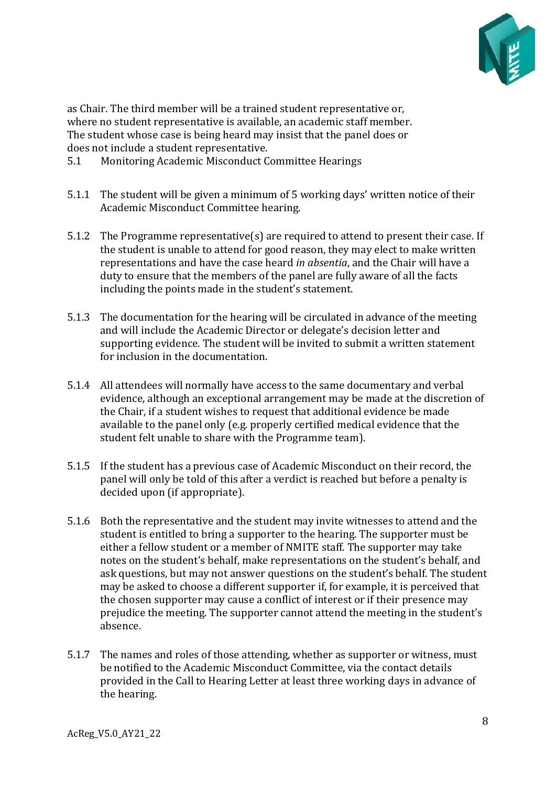

as Chair. The third member will be a trained student representative or, where no student representative is available, an academic staff member. The student whose case is being heard may insist that the panel does or does not include a student representative.

- <span id="page-7-0"></span>5.1 Monitoring Academic Misconduct Committee Hearings
- 5.1.1 The student will be given a minimum of 5 working days' written notice of their Academic Misconduct Committee hearing.
- 5.1.2 The Programme representative(s) are required to attend to present their case. If the student is unable to attend for good reason, they may elect to make written representations and have the case heard *in absentia*, and the Chair will have a duty to ensure that the members of the panel are fully aware of all the facts including the points made in the student's statement.
- 5.1.3 The documentation for the hearing will be circulated in advance of the meeting and will include the Academic Director or delegate's decision letter and supporting evidence. The student will be invited to submit a written statement for inclusion in the documentation.
- 5.1.4 All attendees will normally have access to the same documentary and verbal evidence, although an exceptional arrangement may be made at the discretion of the Chair, if a student wishes to request that additional evidence be made available to the panel only (e.g. properly certified medical evidence that the student felt unable to share with the Programme team).
- 5.1.5 If the student has a previous case of Academic Misconduct on their record, the panel will only be told of this after a verdict is reached but before a penalty is decided upon (if appropriate).
- 5.1.6 Both the representative and the student may invite witnesses to attend and the student is entitled to bring a supporter to the hearing. The supporter must be either a fellow student or a member of NMITE staff. The supporter may take notes on the student's behalf, make representations on the student's behalf, and ask questions, but may not answer questions on the student's behalf. The student may be asked to choose a different supporter if, for example, it is perceived that the chosen supporter may cause a conflict of interest or if their presence may prejudice the meeting. The supporter cannot attend the meeting in the student's absence.
- 5.1.7 The names and roles of those attending, whether as supporter or witness, must be notified to the Academic Misconduct Committee, via the contact details provided in the Call to Hearing Letter at least three working days in advance of the hearing.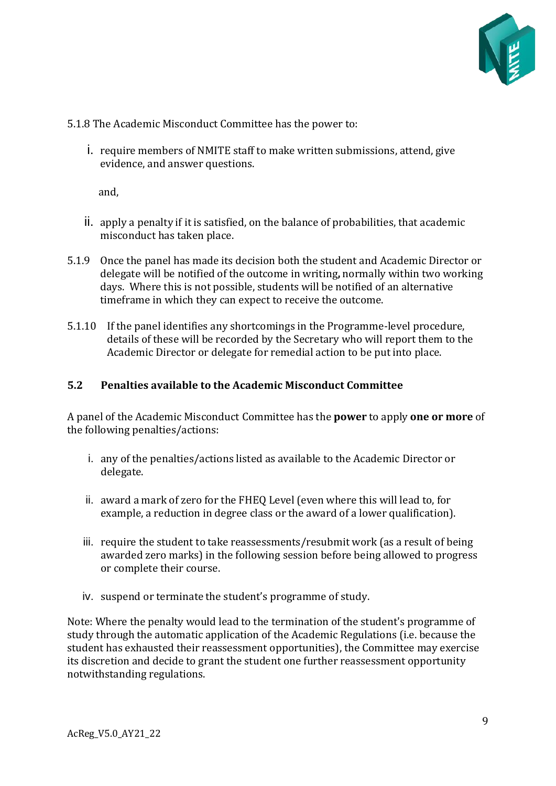

5.1.8 The Academic Misconduct Committee has the power to:

i. require members of NMITE staff to make written submissions, attend, give evidence, and answer questions.

and,

- ii. apply a penalty if it is satisfied, on the balance of probabilities, that academic misconduct has taken place.
- 5.1.9 Once the panel has made its decision both the student and Academic Director or delegate will be notified of the outcome in writing**,**normally within two working days.  Where this is not possible, students will be notified of an alternative timeframe in which they can expect to receive the outcome.
- 5.1.10 If the panel identifies any shortcomings in the Programme-level procedure, details of these will be recorded by the Secretary who will report them to the Academic Director or delegate for remedial action to be put into place.

#### <span id="page-8-0"></span>**5.2 Penalties available to the Academic Misconduct Committee**

A panel of the Academic Misconduct Committee has the **power** to apply **one or more** of the following penalties/actions:

- i. any of the penalties/actions listed as available to the Academic Director or delegate.
- ii. award a mark of zero for the FHEQ Level (even where this will lead to, for example, a reduction in degree class or the award of a lower qualification).
- iii. require the student to take reassessments/resubmit work (as a result of being awarded zero marks) in the following session before being allowed to progress or complete their course.
- iv. suspend or terminate the student's programme of study.

Note: Where the penalty would lead to the termination of the student's programme of study through the automatic application of the Academic Regulations (i.e. because the student has exhausted their reassessment opportunities), the Committee may exercise its discretion and decide to grant the student one further reassessment opportunity notwithstanding regulations.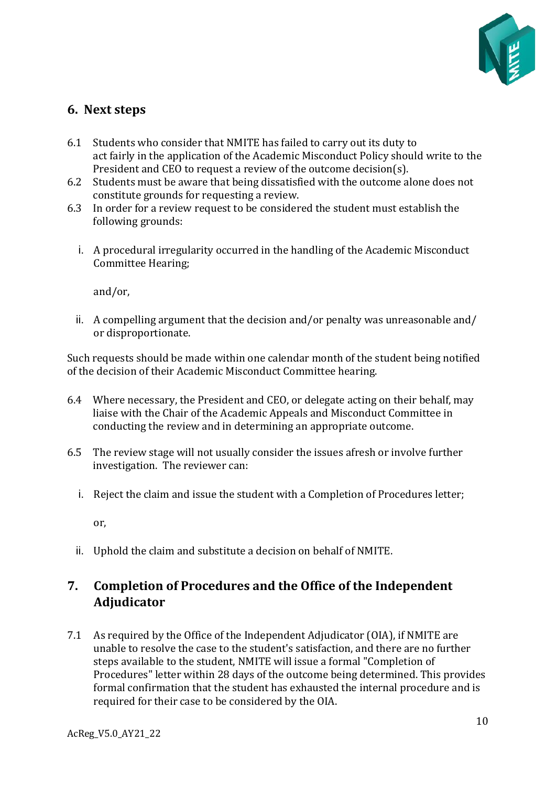

### <span id="page-9-0"></span>**6. Next steps**

- 6.1 Students who consider that NMITE has failed to carry out its duty to act fairly in the application of the Academic Misconduct Policy should write to the President and CEO to request a review of the outcome decision(s).
- 6.2 Students must be aware that being dissatisfied with the outcome alone does not constitute grounds for requesting a review.
- 6.3 In order for a review request to be considered the student must establish the following grounds:
	- i. A procedural irregularity occurred in the handling of the Academic Misconduct Committee Hearing;

and/or,

ii. A compelling argument that the decision and/or penalty was unreasonable and/ or disproportionate.

Such requests should be made within one calendar month of the student being notified of the decision of their Academic Misconduct Committee hearing.

- 6.4 Where necessary, the President and CEO, or delegate acting on their behalf, may liaise with the Chair of the Academic Appeals and Misconduct Committee in conducting the review and in determining an appropriate outcome.
- 6.5 The review stage will not usually consider the issues afresh or involve further investigation. The reviewer can:
	- i. Reject the claim and issue the student with a Completion of Procedures letter;

or,

ii. Uphold the claim and substitute a decision on behalf of NMITE. 

# <span id="page-9-1"></span>**7. Completion of Procedures and the Office of the Independent Adjudicator**

7.1 As required by the Office of the Independent Adjudicator (OIA), if NMITE are unable to resolve the case to the student's satisfaction, and there are no further steps available to the student, NMITE will issue a formal "Completion of Procedures" letter within 28 days of the outcome being determined. This provides formal confirmation that the student has exhausted the internal procedure and is required for their case to be considered by the OIA.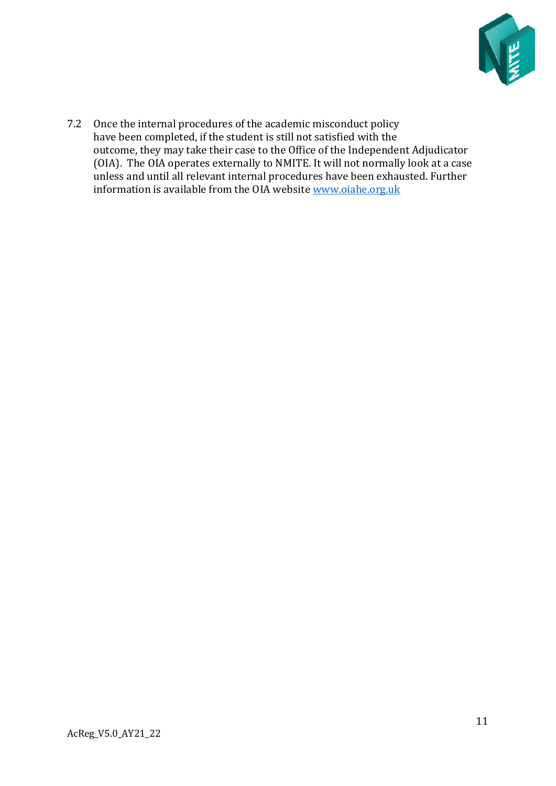

7.2 Once the internal procedures of the academic misconduct policy have been completed, if the student is still not satisfied with the outcome, they may take their case to the Office of the Independent Adjudicator (OIA).  The OIA operates externally to NMITE. It will not normally look at a case unless and until all relevant internal procedures have been exhausted. Further information is available from the OIA website [www.oiahe.org.uk](http://www.oiahe.org.uk/)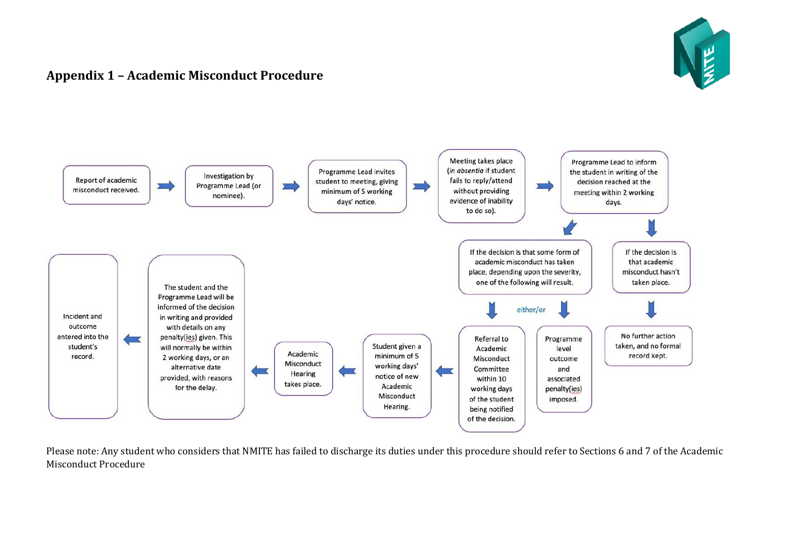

# **Appendix 1 – Academic Misconduct Procedure**



<span id="page-11-0"></span>Please note: Any student who considers that NMITE has failed to discharge its duties under this procedure should refer to Sections 6 and 7 of the Academic Misconduct Procedure